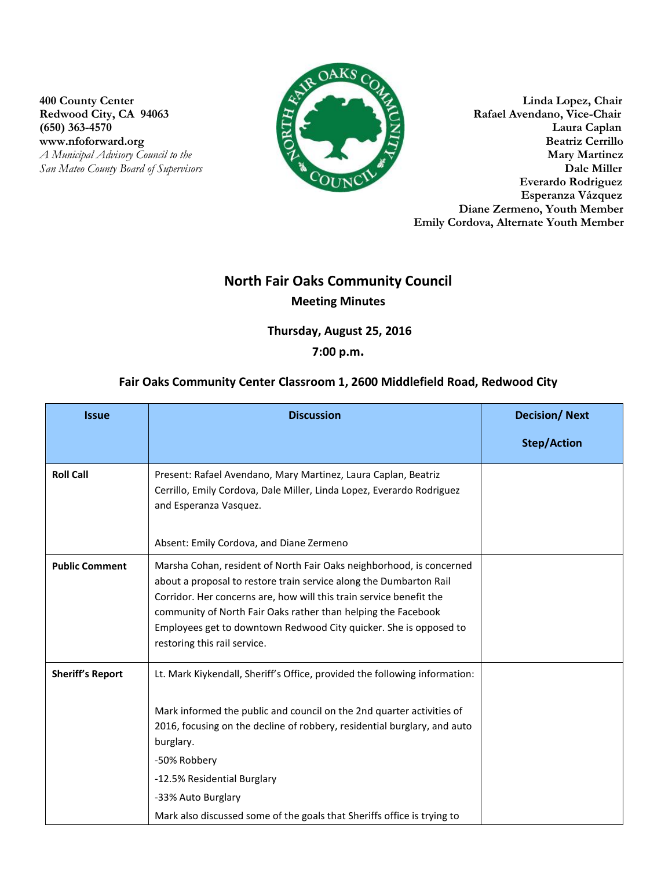www.nfoforward.org **San Mateo County Board of Supervisors** 



400 County Center<br>
Redwood City, CA 94063<br> **All Street Redwood City, CA 94063**<br> **All Street Rafael Avendano, Vice-Chair**<br> **All Street Rafael Avendano, Vice-Chair** Rafael Avendano, Vice-Chair (650) 363-4570 Laura Caplan Laura Caplan Laura Caplan Laura Caplan Laura Caplan Laura Caplan Laura Caplan Laura Caplan Laura Caplan Laura Caplan Laura Caplan Laura Caplan Laura Caplan Laura Caplan Laura Caplan Laura Caplan *A Municipal Advisory Council to the* **Mary Martinez**<br> *A Municipal Advisory Council to the* **<b>Mary Martinez**<br> **Dale Miller Everardo Rodriguez Esperanza Vázquez Diane Zermeno, Youth Member Emily Cordova, Alternate Youth Member**

# **North Fair Oaks Community Council Meeting Minutes**

**Thursday, August 25, 2016** 

## **7:00 p.m.**

### **Fair Oaks Community Center Classroom 1, 2600 Middlefield Road, Redwood City**

| <b>Issue</b>            | <b>Discussion</b>                                                                                                                                                                                                                                                                                                                                                                            | <b>Decision/Next</b> |
|-------------------------|----------------------------------------------------------------------------------------------------------------------------------------------------------------------------------------------------------------------------------------------------------------------------------------------------------------------------------------------------------------------------------------------|----------------------|
|                         |                                                                                                                                                                                                                                                                                                                                                                                              | <b>Step/Action</b>   |
| <b>Roll Call</b>        | Present: Rafael Avendano, Mary Martinez, Laura Caplan, Beatriz<br>Cerrillo, Emily Cordova, Dale Miller, Linda Lopez, Everardo Rodriguez<br>and Esperanza Vasquez.<br>Absent: Emily Cordova, and Diane Zermeno                                                                                                                                                                                |                      |
| <b>Public Comment</b>   | Marsha Cohan, resident of North Fair Oaks neighborhood, is concerned<br>about a proposal to restore train service along the Dumbarton Rail<br>Corridor. Her concerns are, how will this train service benefit the<br>community of North Fair Oaks rather than helping the Facebook<br>Employees get to downtown Redwood City quicker. She is opposed to<br>restoring this rail service.      |                      |
| <b>Sheriff's Report</b> | Lt. Mark Kiykendall, Sheriff's Office, provided the following information:<br>Mark informed the public and council on the 2nd quarter activities of<br>2016, focusing on the decline of robbery, residential burglary, and auto<br>burglary.<br>-50% Robbery<br>-12.5% Residential Burglary<br>-33% Auto Burglary<br>Mark also discussed some of the goals that Sheriffs office is trying to |                      |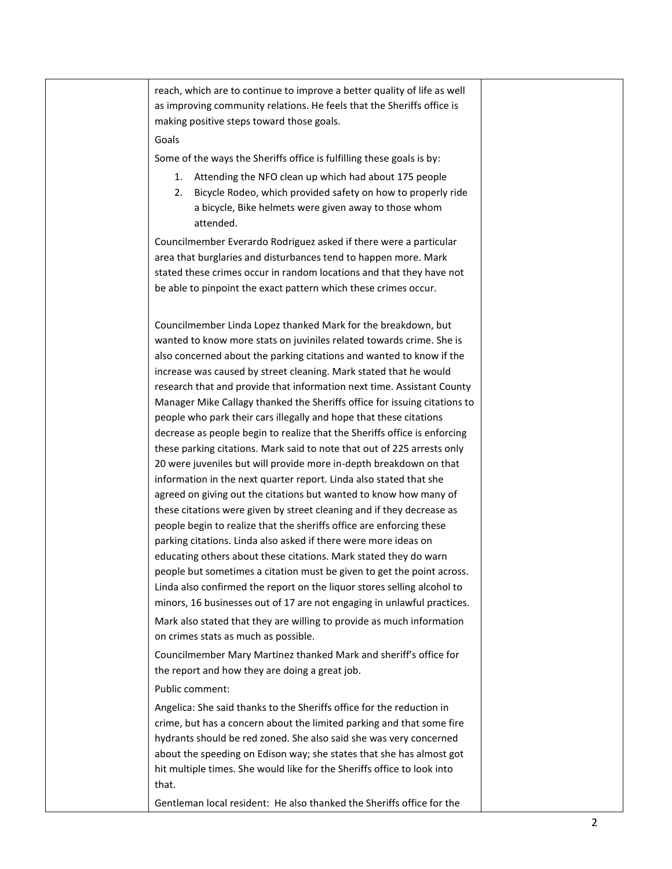reach, which are to continue to improve a better quality of life as well as improving community relations. He feels that the Sheriffs office is making positive steps toward those goals.

### Goals

Some of the ways the Sheriffs office is fulfilling these goals is by:

- 1. Attending the NFO clean up which had about 175 people
- 2. Bicycle Rodeo, which provided safety on how to properly ride a bicycle, Bike helmets were given away to those whom attended.

Councilmember Everardo Rodriguez asked if there were a particular area that burglaries and disturbances tend to happen more. Mark stated these crimes occur in random locations and that they have not be able to pinpoint the exact pattern which these crimes occur.

Councilmember Linda Lopez thanked Mark for the breakdown, but wanted to know more stats on juviniles related towards crime. She is also concerned about the parking citations and wanted to know if the increase was caused by street cleaning. Mark stated that he would research that and provide that information next time. Assistant County Manager Mike Callagy thanked the Sheriffs office for issuing citations to people who park their cars illegally and hope that these citations decrease as people begin to realize that the Sheriffs office is enforcing these parking citations. Mark said to note that out of 225 arrests only 20 were juveniles but will provide more in-depth breakdown on that information in the next quarter report. Linda also stated that she agreed on giving out the citations but wanted to know how many of these citations were given by street cleaning and if they decrease as people begin to realize that the sheriffs office are enforcing these parking citations. Linda also asked if there were more ideas on educating others about these citations. Mark stated they do warn people but sometimes a citation must be given to get the point across. Linda also confirmed the report on the liquor stores selling alcohol to minors, 16 businesses out of 17 are not engaging in unlawful practices. Mark also stated that they are willing to provide as much information on crimes stats as much as possible.

Councilmember Mary Martinez thanked Mark and sheriff's office for the report and how they are doing a great job.

#### Public comment:

Angelica: She said thanks to the Sheriffs office for the reduction in crime, but has a concern about the limited parking and that some fire hydrants should be red zoned. She also said she was very concerned about the speeding on Edison way; she states that she has almost got hit multiple times. She would like for the Sheriffs office to look into that.

Gentleman local resident: He also thanked the Sheriffs office for the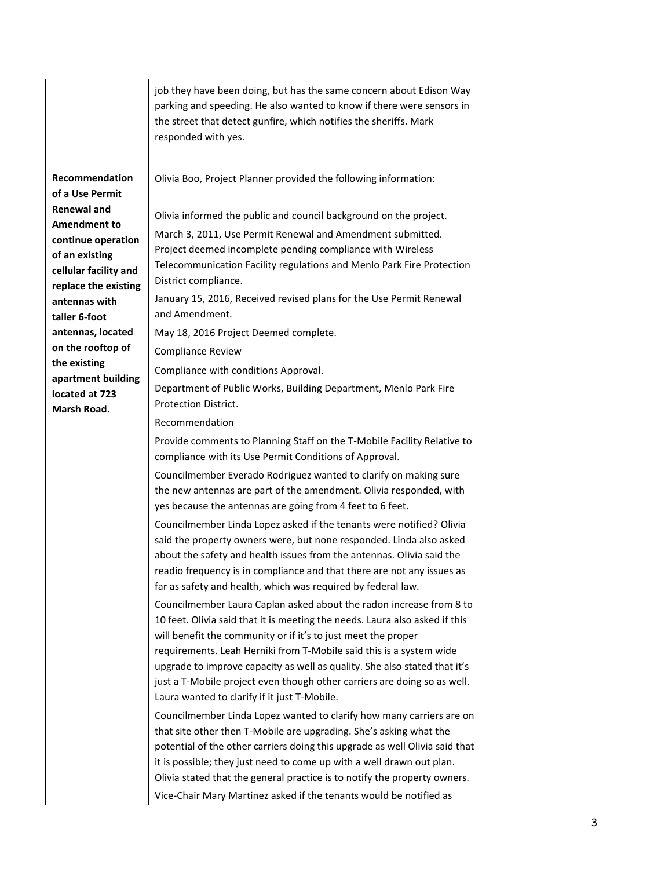|                                                                                                                                                                                                                                                                                                                                   | job they have been doing, but has the same concern about Edison Way<br>parking and speeding. He also wanted to know if there were sensors in<br>the street that detect gunfire, which notifies the sheriffs. Mark<br>responded with yes.                                                                                                                                                                                                                                                                                                                                                                                                                                                                                                                                                                                                                                                                                                                                                                                                                                                                                                                                                                                                                                                                                                                                                                                                                                                                                                                                                                                                                                                          |  |
|-----------------------------------------------------------------------------------------------------------------------------------------------------------------------------------------------------------------------------------------------------------------------------------------------------------------------------------|---------------------------------------------------------------------------------------------------------------------------------------------------------------------------------------------------------------------------------------------------------------------------------------------------------------------------------------------------------------------------------------------------------------------------------------------------------------------------------------------------------------------------------------------------------------------------------------------------------------------------------------------------------------------------------------------------------------------------------------------------------------------------------------------------------------------------------------------------------------------------------------------------------------------------------------------------------------------------------------------------------------------------------------------------------------------------------------------------------------------------------------------------------------------------------------------------------------------------------------------------------------------------------------------------------------------------------------------------------------------------------------------------------------------------------------------------------------------------------------------------------------------------------------------------------------------------------------------------------------------------------------------------------------------------------------------------|--|
| Recommendation<br>of a Use Permit<br><b>Renewal and</b><br><b>Amendment to</b><br>continue operation<br>of an existing<br>cellular facility and<br>replace the existing<br>antennas with<br>taller 6-foot<br>antennas, located<br>on the rooftop of<br>the existing<br>apartment building<br>located at 723<br><b>Marsh Road.</b> | Olivia Boo, Project Planner provided the following information:<br>Olivia informed the public and council background on the project.<br>March 3, 2011, Use Permit Renewal and Amendment submitted.<br>Project deemed incomplete pending compliance with Wireless<br>Telecommunication Facility regulations and Menlo Park Fire Protection<br>District compliance.<br>January 15, 2016, Received revised plans for the Use Permit Renewal<br>and Amendment.<br>May 18, 2016 Project Deemed complete.<br><b>Compliance Review</b><br>Compliance with conditions Approval.<br>Department of Public Works, Building Department, Menlo Park Fire<br>Protection District.<br>Recommendation<br>Provide comments to Planning Staff on the T-Mobile Facility Relative to<br>compliance with its Use Permit Conditions of Approval.<br>Councilmember Everado Rodriguez wanted to clarify on making sure<br>the new antennas are part of the amendment. Olivia responded, with<br>yes because the antennas are going from 4 feet to 6 feet.<br>Councilmember Linda Lopez asked if the tenants were notified? Olivia<br>said the property owners were, but none responded. Linda also asked<br>about the safety and health issues from the antennas. Olivia said the<br>readio frequency is in compliance and that there are not any issues as<br>far as safety and health, which was required by federal law.<br>Councilmember Laura Caplan asked about the radon increase from 8 to<br>10 feet. Olivia said that it is meeting the needs. Laura also asked if this<br>will benefit the community or if it's to just meet the proper<br>requirements. Leah Herniki from T-Mobile said this is a system wide |  |
|                                                                                                                                                                                                                                                                                                                                   | upgrade to improve capacity as well as quality. She also stated that it's<br>just a T-Mobile project even though other carriers are doing so as well.<br>Laura wanted to clarify if it just T-Mobile.<br>Councilmember Linda Lopez wanted to clarify how many carriers are on<br>that site other then T-Mobile are upgrading. She's asking what the<br>potential of the other carriers doing this upgrade as well Olivia said that<br>it is possible; they just need to come up with a well drawn out plan.<br>Olivia stated that the general practice is to notify the property owners.                                                                                                                                                                                                                                                                                                                                                                                                                                                                                                                                                                                                                                                                                                                                                                                                                                                                                                                                                                                                                                                                                                          |  |
|                                                                                                                                                                                                                                                                                                                                   | Vice-Chair Mary Martinez asked if the tenants would be notified as                                                                                                                                                                                                                                                                                                                                                                                                                                                                                                                                                                                                                                                                                                                                                                                                                                                                                                                                                                                                                                                                                                                                                                                                                                                                                                                                                                                                                                                                                                                                                                                                                                |  |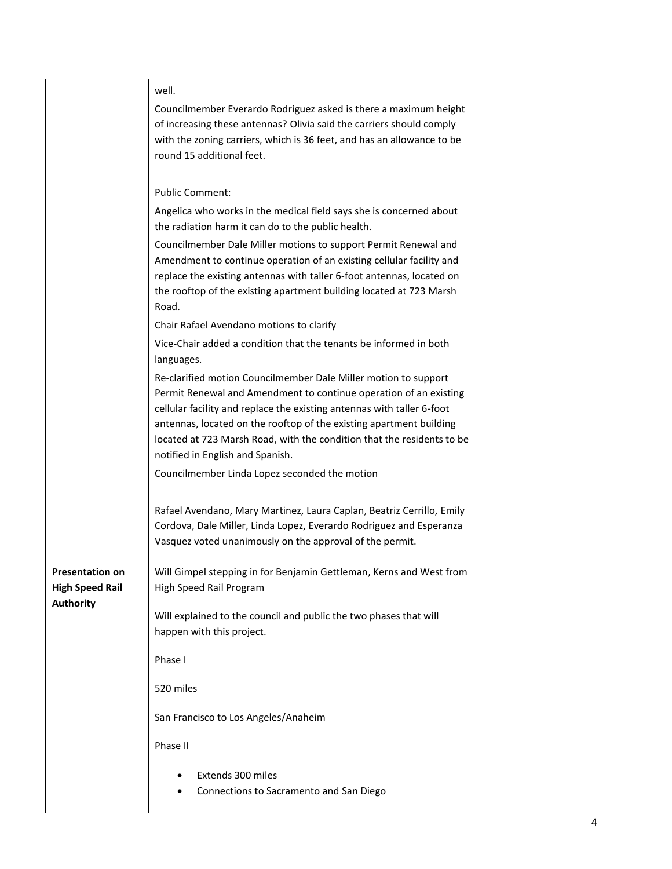| well.<br>Councilmember Everardo Rodriguez asked is there a maximum height<br>of increasing these antennas? Olivia said the carriers should comply<br>with the zoning carriers, which is 36 feet, and has an allowance to be<br>round 15 additional feet.                                                                                                                                                                                                                                                                                                                                                                                                                                                                                                                                                                                                                                                                                                  |
|-----------------------------------------------------------------------------------------------------------------------------------------------------------------------------------------------------------------------------------------------------------------------------------------------------------------------------------------------------------------------------------------------------------------------------------------------------------------------------------------------------------------------------------------------------------------------------------------------------------------------------------------------------------------------------------------------------------------------------------------------------------------------------------------------------------------------------------------------------------------------------------------------------------------------------------------------------------|
| <b>Public Comment:</b><br>Angelica who works in the medical field says she is concerned about<br>the radiation harm it can do to the public health.<br>Councilmember Dale Miller motions to support Permit Renewal and<br>Amendment to continue operation of an existing cellular facility and<br>replace the existing antennas with taller 6-foot antennas, located on<br>the rooftop of the existing apartment building located at 723 Marsh<br>Road.<br>Chair Rafael Avendano motions to clarify<br>Vice-Chair added a condition that the tenants be informed in both<br>languages.<br>Re-clarified motion Councilmember Dale Miller motion to support<br>Permit Renewal and Amendment to continue operation of an existing<br>cellular facility and replace the existing antennas with taller 6-foot<br>antennas, located on the rooftop of the existing apartment building<br>located at 723 Marsh Road, with the condition that the residents to be |
| notified in English and Spanish.<br>Councilmember Linda Lopez seconded the motion                                                                                                                                                                                                                                                                                                                                                                                                                                                                                                                                                                                                                                                                                                                                                                                                                                                                         |
| Rafael Avendano, Mary Martinez, Laura Caplan, Beatriz Cerrillo, Emily<br>Cordova, Dale Miller, Linda Lopez, Everardo Rodriguez and Esperanza<br>Vasquez voted unanimously on the approval of the permit.                                                                                                                                                                                                                                                                                                                                                                                                                                                                                                                                                                                                                                                                                                                                                  |
| Will Gimpel stepping in for Benjamin Gettleman, Kerns and West from<br>High Speed Rail Program<br>Will explained to the council and public the two phases that will<br>happen with this project.<br>Phase I<br>520 miles<br>San Francisco to Los Angeles/Anaheim<br>Phase II<br>Extends 300 miles<br>Connections to Sacramento and San Diego                                                                                                                                                                                                                                                                                                                                                                                                                                                                                                                                                                                                              |
|                                                                                                                                                                                                                                                                                                                                                                                                                                                                                                                                                                                                                                                                                                                                                                                                                                                                                                                                                           |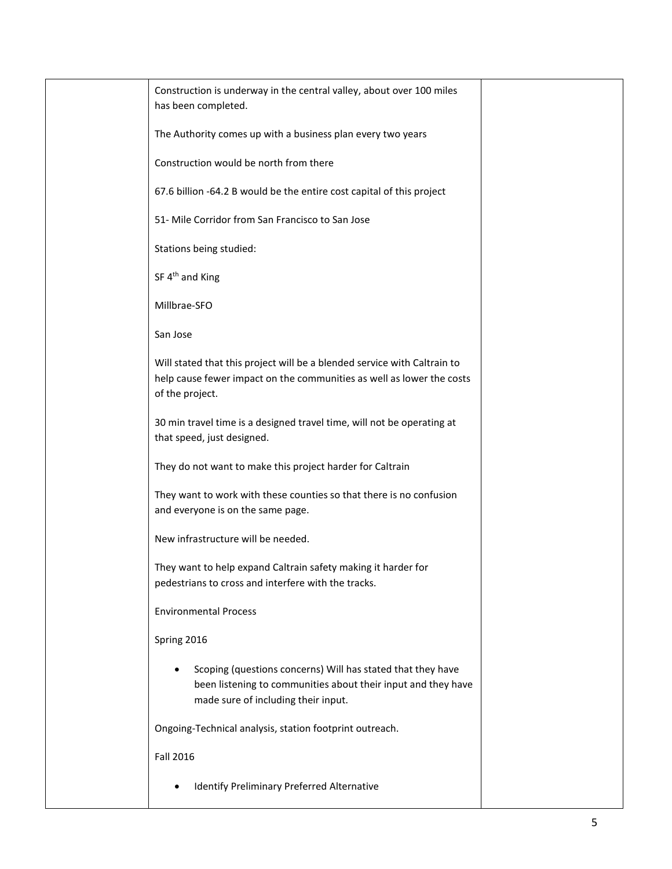| Construction is underway in the central valley, about over 100 miles<br>has been completed.                                                                          |  |
|----------------------------------------------------------------------------------------------------------------------------------------------------------------------|--|
| The Authority comes up with a business plan every two years                                                                                                          |  |
| Construction would be north from there                                                                                                                               |  |
| 67.6 billion -64.2 B would be the entire cost capital of this project                                                                                                |  |
| 51- Mile Corridor from San Francisco to San Jose                                                                                                                     |  |
| Stations being studied:                                                                                                                                              |  |
| SF 4 <sup>th</sup> and King                                                                                                                                          |  |
| Millbrae-SFO                                                                                                                                                         |  |
| San Jose                                                                                                                                                             |  |
| Will stated that this project will be a blended service with Caltrain to<br>help cause fewer impact on the communities as well as lower the costs<br>of the project. |  |
| 30 min travel time is a designed travel time, will not be operating at<br>that speed, just designed.                                                                 |  |
| They do not want to make this project harder for Caltrain                                                                                                            |  |
| They want to work with these counties so that there is no confusion<br>and everyone is on the same page.                                                             |  |
| New infrastructure will be needed.                                                                                                                                   |  |
| They want to help expand Caltrain safety making it harder for<br>pedestrians to cross and interfere with the tracks.                                                 |  |
| <b>Environmental Process</b>                                                                                                                                         |  |
| Spring 2016                                                                                                                                                          |  |
| Scoping (questions concerns) Will has stated that they have<br>been listening to communities about their input and they have<br>made sure of including their input.  |  |
| Ongoing-Technical analysis, station footprint outreach.                                                                                                              |  |
| <b>Fall 2016</b>                                                                                                                                                     |  |
| Identify Preliminary Preferred Alternative                                                                                                                           |  |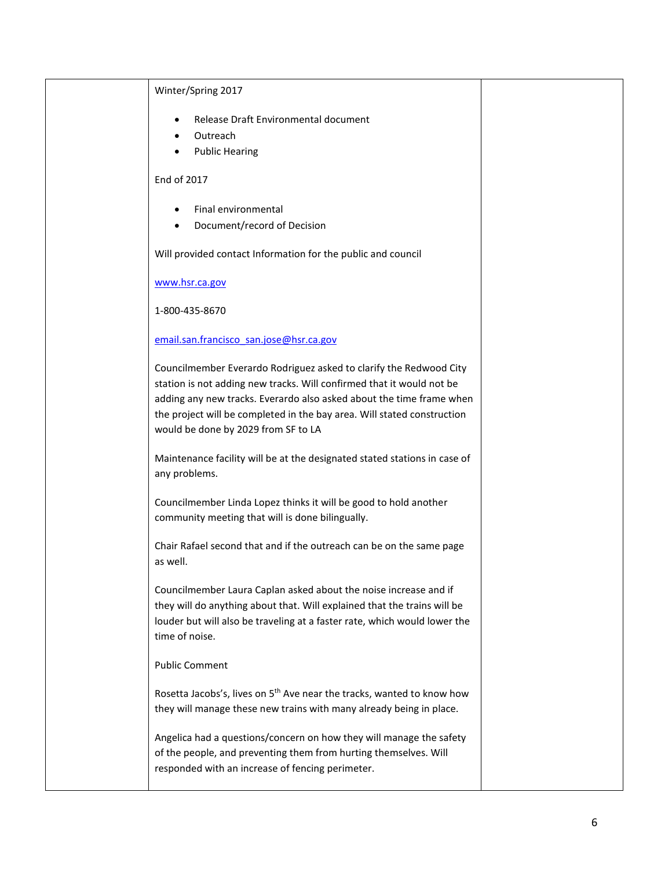| Winter/Spring 2017                                                                                                                                                                                                                                                                                                                    |  |
|---------------------------------------------------------------------------------------------------------------------------------------------------------------------------------------------------------------------------------------------------------------------------------------------------------------------------------------|--|
| Release Draft Environmental document                                                                                                                                                                                                                                                                                                  |  |
| Outreach<br>٠<br><b>Public Hearing</b><br>٠                                                                                                                                                                                                                                                                                           |  |
|                                                                                                                                                                                                                                                                                                                                       |  |
| End of 2017                                                                                                                                                                                                                                                                                                                           |  |
| Final environmental<br>٠                                                                                                                                                                                                                                                                                                              |  |
| Document/record of Decision<br>$\bullet$                                                                                                                                                                                                                                                                                              |  |
| Will provided contact Information for the public and council                                                                                                                                                                                                                                                                          |  |
| www.hsr.ca.gov                                                                                                                                                                                                                                                                                                                        |  |
| 1-800-435-8670                                                                                                                                                                                                                                                                                                                        |  |
| email.san.francisco san.jose@hsr.ca.gov                                                                                                                                                                                                                                                                                               |  |
| Councilmember Everardo Rodriguez asked to clarify the Redwood City<br>station is not adding new tracks. Will confirmed that it would not be<br>adding any new tracks. Everardo also asked about the time frame when<br>the project will be completed in the bay area. Will stated construction<br>would be done by 2029 from SF to LA |  |
| Maintenance facility will be at the designated stated stations in case of<br>any problems.                                                                                                                                                                                                                                            |  |
| Councilmember Linda Lopez thinks it will be good to hold another<br>community meeting that will is done bilingually.                                                                                                                                                                                                                  |  |
| Chair Rafael second that and if the outreach can be on the same page<br>as well.                                                                                                                                                                                                                                                      |  |
| Councilmember Laura Caplan asked about the noise increase and if<br>they will do anything about that. Will explained that the trains will be<br>louder but will also be traveling at a faster rate, which would lower the<br>time of noise.                                                                                           |  |
| <b>Public Comment</b>                                                                                                                                                                                                                                                                                                                 |  |
| Rosetta Jacobs's, lives on 5 <sup>th</sup> Ave near the tracks, wanted to know how<br>they will manage these new trains with many already being in place.                                                                                                                                                                             |  |
| Angelica had a questions/concern on how they will manage the safety<br>of the people, and preventing them from hurting themselves. Will<br>responded with an increase of fencing perimeter.                                                                                                                                           |  |
|                                                                                                                                                                                                                                                                                                                                       |  |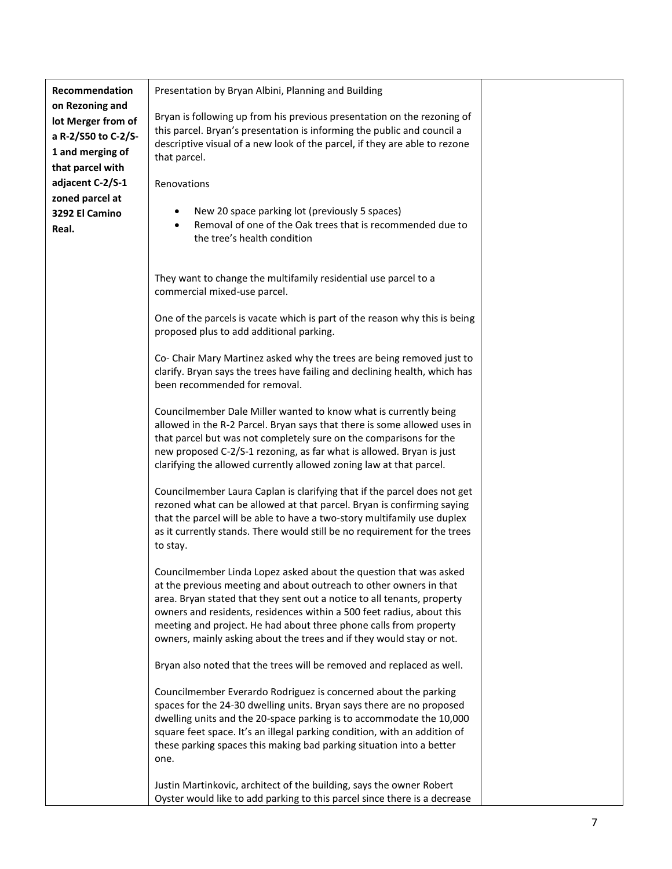| Recommendation<br>on Rezoning and                                                 | Presentation by Bryan Albini, Planning and Building                                                                                                                                                                                                                                                                                                                                                                                      |  |
|-----------------------------------------------------------------------------------|------------------------------------------------------------------------------------------------------------------------------------------------------------------------------------------------------------------------------------------------------------------------------------------------------------------------------------------------------------------------------------------------------------------------------------------|--|
| lot Merger from of<br>a R-2/S50 to C-2/S-<br>1 and merging of<br>that parcel with | Bryan is following up from his previous presentation on the rezoning of<br>this parcel. Bryan's presentation is informing the public and council a<br>descriptive visual of a new look of the parcel, if they are able to rezone<br>that parcel.                                                                                                                                                                                         |  |
| adjacent C-2/S-1                                                                  | Renovations                                                                                                                                                                                                                                                                                                                                                                                                                              |  |
| zoned parcel at                                                                   |                                                                                                                                                                                                                                                                                                                                                                                                                                          |  |
| 3292 El Camino<br>Real.                                                           | New 20 space parking lot (previously 5 spaces)<br>Removal of one of the Oak trees that is recommended due to<br>$\bullet$<br>the tree's health condition                                                                                                                                                                                                                                                                                 |  |
|                                                                                   | They want to change the multifamily residential use parcel to a<br>commercial mixed-use parcel.                                                                                                                                                                                                                                                                                                                                          |  |
|                                                                                   | One of the parcels is vacate which is part of the reason why this is being<br>proposed plus to add additional parking.                                                                                                                                                                                                                                                                                                                   |  |
|                                                                                   | Co- Chair Mary Martinez asked why the trees are being removed just to<br>clarify. Bryan says the trees have failing and declining health, which has<br>been recommended for removal.                                                                                                                                                                                                                                                     |  |
|                                                                                   | Councilmember Dale Miller wanted to know what is currently being<br>allowed in the R-2 Parcel. Bryan says that there is some allowed uses in<br>that parcel but was not completely sure on the comparisons for the<br>new proposed C-2/S-1 rezoning, as far what is allowed. Bryan is just<br>clarifying the allowed currently allowed zoning law at that parcel.                                                                        |  |
|                                                                                   | Councilmember Laura Caplan is clarifying that if the parcel does not get<br>rezoned what can be allowed at that parcel. Bryan is confirming saying<br>that the parcel will be able to have a two-story multifamily use duplex<br>as it currently stands. There would still be no requirement for the trees<br>to stay.                                                                                                                   |  |
|                                                                                   | Councilmember Linda Lopez asked about the question that was asked<br>at the previous meeting and about outreach to other owners in that<br>area. Bryan stated that they sent out a notice to all tenants, property<br>owners and residents, residences within a 500 feet radius, about this<br>meeting and project. He had about three phone calls from property<br>owners, mainly asking about the trees and if they would stay or not. |  |
|                                                                                   | Bryan also noted that the trees will be removed and replaced as well.                                                                                                                                                                                                                                                                                                                                                                    |  |
|                                                                                   | Councilmember Everardo Rodriguez is concerned about the parking<br>spaces for the 24-30 dwelling units. Bryan says there are no proposed<br>dwelling units and the 20-space parking is to accommodate the 10,000<br>square feet space. It's an illegal parking condition, with an addition of<br>these parking spaces this making bad parking situation into a better<br>one.                                                            |  |
|                                                                                   | Justin Martinkovic, architect of the building, says the owner Robert<br>Oyster would like to add parking to this parcel since there is a decrease                                                                                                                                                                                                                                                                                        |  |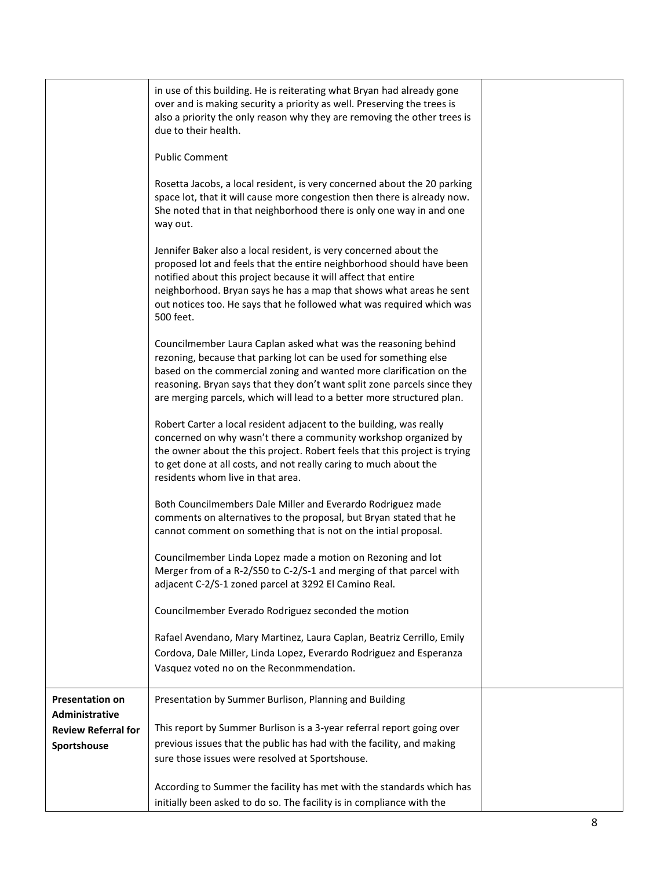|                                          | in use of this building. He is reiterating what Bryan had already gone<br>over and is making security a priority as well. Preserving the trees is<br>also a priority the only reason why they are removing the other trees is<br>due to their health.                                                                                                                    |  |
|------------------------------------------|--------------------------------------------------------------------------------------------------------------------------------------------------------------------------------------------------------------------------------------------------------------------------------------------------------------------------------------------------------------------------|--|
|                                          | <b>Public Comment</b>                                                                                                                                                                                                                                                                                                                                                    |  |
|                                          | Rosetta Jacobs, a local resident, is very concerned about the 20 parking<br>space lot, that it will cause more congestion then there is already now.<br>She noted that in that neighborhood there is only one way in and one<br>way out.                                                                                                                                 |  |
|                                          | Jennifer Baker also a local resident, is very concerned about the<br>proposed lot and feels that the entire neighborhood should have been<br>notified about this project because it will affect that entire<br>neighborhood. Bryan says he has a map that shows what areas he sent<br>out notices too. He says that he followed what was required which was<br>500 feet. |  |
|                                          | Councilmember Laura Caplan asked what was the reasoning behind<br>rezoning, because that parking lot can be used for something else<br>based on the commercial zoning and wanted more clarification on the<br>reasoning. Bryan says that they don't want split zone parcels since they<br>are merging parcels, which will lead to a better more structured plan.         |  |
|                                          | Robert Carter a local resident adjacent to the building, was really<br>concerned on why wasn't there a community workshop organized by<br>the owner about the this project. Robert feels that this project is trying<br>to get done at all costs, and not really caring to much about the<br>residents whom live in that area.                                           |  |
|                                          | Both Councilmembers Dale Miller and Everardo Rodriguez made<br>comments on alternatives to the proposal, but Bryan stated that he<br>cannot comment on something that is not on the intial proposal.                                                                                                                                                                     |  |
|                                          | Councilmember Linda Lopez made a motion on Rezoning and lot<br>Merger from of a R-2/S50 to C-2/S-1 and merging of that parcel with<br>adjacent C-2/S-1 zoned parcel at 3292 El Camino Real.                                                                                                                                                                              |  |
|                                          | Councilmember Everado Rodriguez seconded the motion                                                                                                                                                                                                                                                                                                                      |  |
|                                          | Rafael Avendano, Mary Martinez, Laura Caplan, Beatriz Cerrillo, Emily<br>Cordova, Dale Miller, Linda Lopez, Everardo Rodriguez and Esperanza<br>Vasquez voted no on the Reconmmendation.                                                                                                                                                                                 |  |
| <b>Presentation on</b><br>Administrative | Presentation by Summer Burlison, Planning and Building                                                                                                                                                                                                                                                                                                                   |  |
| <b>Review Referral for</b>               | This report by Summer Burlison is a 3-year referral report going over                                                                                                                                                                                                                                                                                                    |  |
| Sportshouse                              | previous issues that the public has had with the facility, and making                                                                                                                                                                                                                                                                                                    |  |
|                                          | sure those issues were resolved at Sportshouse.                                                                                                                                                                                                                                                                                                                          |  |
|                                          | According to Summer the facility has met with the standards which has<br>initially been asked to do so. The facility is in compliance with the                                                                                                                                                                                                                           |  |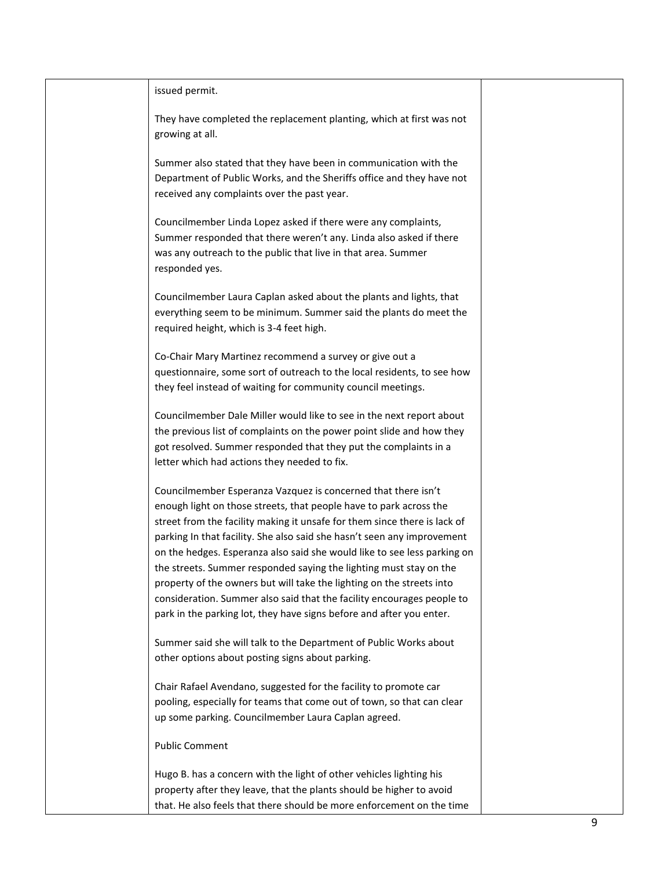| issued permit.                                                                                                                                 |  |
|------------------------------------------------------------------------------------------------------------------------------------------------|--|
| They have completed the replacement planting, which at first was not<br>growing at all.                                                        |  |
|                                                                                                                                                |  |
| Summer also stated that they have been in communication with the<br>Department of Public Works, and the Sheriffs office and they have not      |  |
| received any complaints over the past year.                                                                                                    |  |
| Councilmember Linda Lopez asked if there were any complaints,                                                                                  |  |
| Summer responded that there weren't any. Linda also asked if there                                                                             |  |
| was any outreach to the public that live in that area. Summer                                                                                  |  |
| responded yes.                                                                                                                                 |  |
| Councilmember Laura Caplan asked about the plants and lights, that                                                                             |  |
| everything seem to be minimum. Summer said the plants do meet the                                                                              |  |
| required height, which is 3-4 feet high.                                                                                                       |  |
| Co-Chair Mary Martinez recommend a survey or give out a                                                                                        |  |
| questionnaire, some sort of outreach to the local residents, to see how                                                                        |  |
| they feel instead of waiting for community council meetings.                                                                                   |  |
| Councilmember Dale Miller would like to see in the next report about                                                                           |  |
| the previous list of complaints on the power point slide and how they                                                                          |  |
| got resolved. Summer responded that they put the complaints in a                                                                               |  |
| letter which had actions they needed to fix.                                                                                                   |  |
| Councilmember Esperanza Vazquez is concerned that there isn't                                                                                  |  |
| enough light on those streets, that people have to park across the                                                                             |  |
| street from the facility making it unsafe for them since there is lack of                                                                      |  |
| parking In that facility. She also said she hasn't seen any improvement                                                                        |  |
| on the hedges. Esperanza also said she would like to see less parking on<br>the streets. Summer responded saying the lighting must stay on the |  |
| property of the owners but will take the lighting on the streets into                                                                          |  |
| consideration. Summer also said that the facility encourages people to                                                                         |  |
| park in the parking lot, they have signs before and after you enter.                                                                           |  |
| Summer said she will talk to the Department of Public Works about                                                                              |  |
| other options about posting signs about parking.                                                                                               |  |
| Chair Rafael Avendano, suggested for the facility to promote car                                                                               |  |
| pooling, especially for teams that come out of town, so that can clear                                                                         |  |
| up some parking. Councilmember Laura Caplan agreed.                                                                                            |  |
| <b>Public Comment</b>                                                                                                                          |  |
| Hugo B. has a concern with the light of other vehicles lighting his                                                                            |  |
| property after they leave, that the plants should be higher to avoid                                                                           |  |
| that. He also feels that there should be more enforcement on the time                                                                          |  |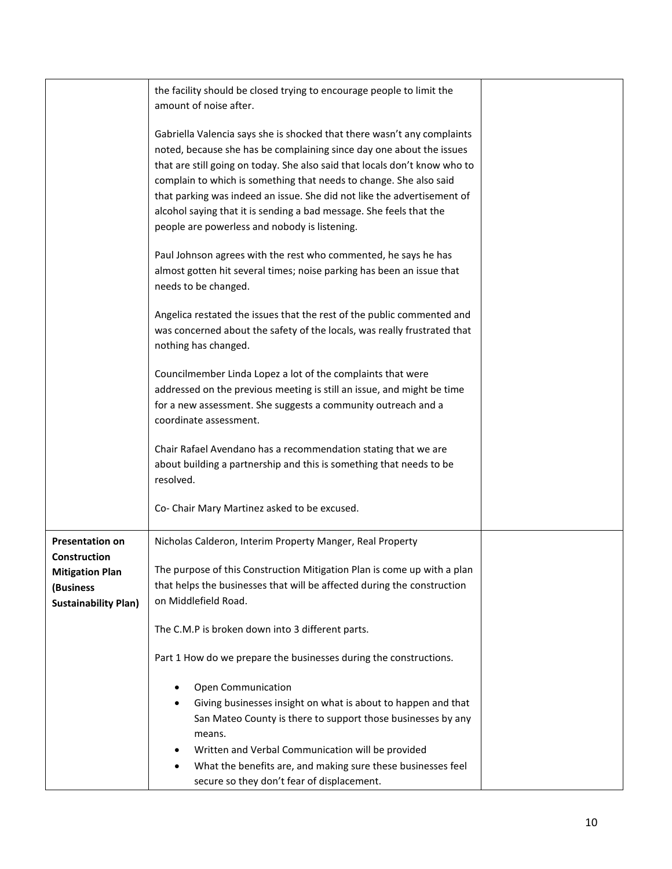| the facility should be closed trying to encourage people to limit the<br>amount of noise after.                                                                                                                                                                                                                                                                                                                                                                                                        |                                            |
|--------------------------------------------------------------------------------------------------------------------------------------------------------------------------------------------------------------------------------------------------------------------------------------------------------------------------------------------------------------------------------------------------------------------------------------------------------------------------------------------------------|--------------------------------------------|
| Gabriella Valencia says she is shocked that there wasn't any complaints<br>noted, because she has be complaining since day one about the issues<br>that are still going on today. She also said that locals don't know who to<br>complain to which is something that needs to change. She also said<br>that parking was indeed an issue. She did not like the advertisement of<br>alcohol saying that it is sending a bad message. She feels that the<br>people are powerless and nobody is listening. |                                            |
| Paul Johnson agrees with the rest who commented, he says he has<br>almost gotten hit several times; noise parking has been an issue that<br>needs to be changed.                                                                                                                                                                                                                                                                                                                                       |                                            |
| Angelica restated the issues that the rest of the public commented and<br>was concerned about the safety of the locals, was really frustrated that<br>nothing has changed.                                                                                                                                                                                                                                                                                                                             |                                            |
| Councilmember Linda Lopez a lot of the complaints that were<br>addressed on the previous meeting is still an issue, and might be time<br>for a new assessment. She suggests a community outreach and a<br>coordinate assessment.                                                                                                                                                                                                                                                                       |                                            |
| Chair Rafael Avendano has a recommendation stating that we are<br>about building a partnership and this is something that needs to be<br>resolved.                                                                                                                                                                                                                                                                                                                                                     |                                            |
| Co- Chair Mary Martinez asked to be excused.                                                                                                                                                                                                                                                                                                                                                                                                                                                           |                                            |
| Nicholas Calderon, Interim Property Manger, Real Property                                                                                                                                                                                                                                                                                                                                                                                                                                              |                                            |
| The purpose of this Construction Mitigation Plan is come up with a plan<br>that helps the businesses that will be affected during the construction<br>on Middlefield Road.                                                                                                                                                                                                                                                                                                                             |                                            |
| The C.M.P is broken down into 3 different parts.                                                                                                                                                                                                                                                                                                                                                                                                                                                       |                                            |
| Part 1 How do we prepare the businesses during the constructions.                                                                                                                                                                                                                                                                                                                                                                                                                                      |                                            |
| Open Communication<br>Giving businesses insight on what is about to happen and that<br>San Mateo County is there to support those businesses by any<br>means.<br>Written and Verbal Communication will be provided<br>What the benefits are, and making sure these businesses feel                                                                                                                                                                                                                     |                                            |
|                                                                                                                                                                                                                                                                                                                                                                                                                                                                                                        | secure so they don't fear of displacement. |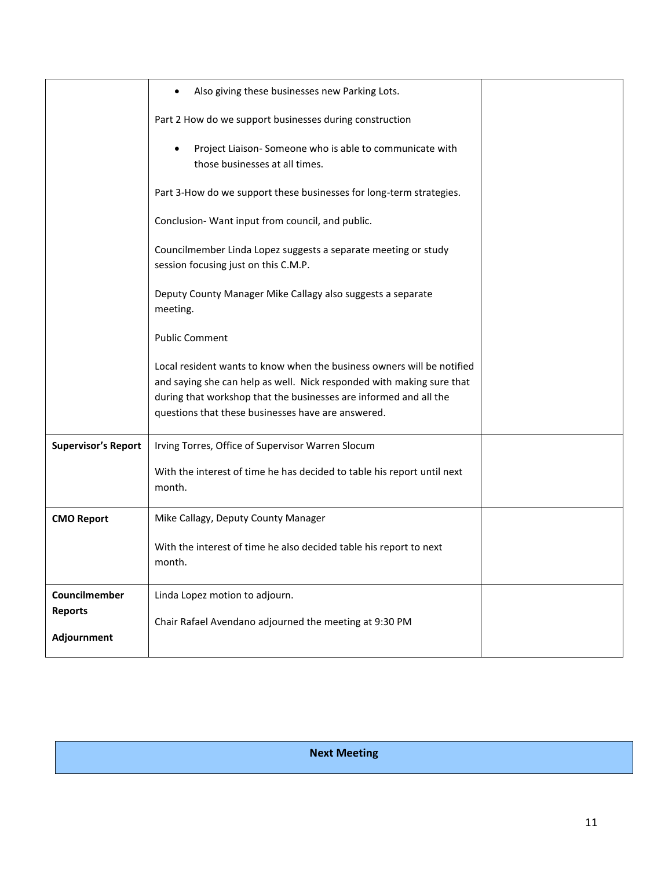|                                                | Also giving these businesses new Parking Lots.                                                                                                                                                                                                                             |  |
|------------------------------------------------|----------------------------------------------------------------------------------------------------------------------------------------------------------------------------------------------------------------------------------------------------------------------------|--|
|                                                | Part 2 How do we support businesses during construction                                                                                                                                                                                                                    |  |
|                                                | Project Liaison-Someone who is able to communicate with<br>those businesses at all times.                                                                                                                                                                                  |  |
|                                                | Part 3-How do we support these businesses for long-term strategies.                                                                                                                                                                                                        |  |
|                                                | Conclusion- Want input from council, and public.                                                                                                                                                                                                                           |  |
|                                                | Councilmember Linda Lopez suggests a separate meeting or study<br>session focusing just on this C.M.P.                                                                                                                                                                     |  |
|                                                | Deputy County Manager Mike Callagy also suggests a separate<br>meeting.                                                                                                                                                                                                    |  |
|                                                | <b>Public Comment</b>                                                                                                                                                                                                                                                      |  |
|                                                | Local resident wants to know when the business owners will be notified<br>and saying she can help as well. Nick responded with making sure that<br>during that workshop that the businesses are informed and all the<br>questions that these businesses have are answered. |  |
| <b>Supervisor's Report</b>                     | Irving Torres, Office of Supervisor Warren Slocum                                                                                                                                                                                                                          |  |
|                                                | With the interest of time he has decided to table his report until next<br>month.                                                                                                                                                                                          |  |
| <b>CMO Report</b>                              | Mike Callagy, Deputy County Manager                                                                                                                                                                                                                                        |  |
|                                                | With the interest of time he also decided table his report to next<br>month.                                                                                                                                                                                               |  |
| Councilmember<br><b>Reports</b><br>Adjournment | Linda Lopez motion to adjourn.<br>Chair Rafael Avendano adjourned the meeting at 9:30 PM                                                                                                                                                                                   |  |

**Next Meeting**